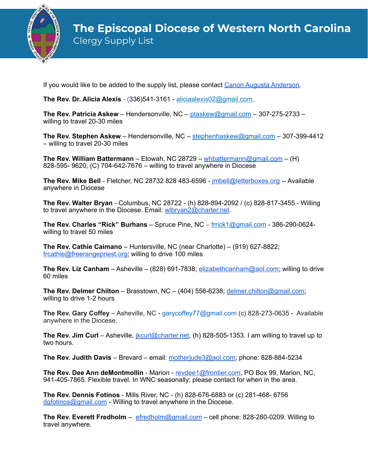

If you would like to be added to the supply list, please contact [Canon Augusta Anderson](mailto:canonaugusta@diocesewnc.org).

**The Rev. Dr. Alicia Alexis** - (336)541-3161 - [aliciaalexis02@gmail.com](mailto:aliciaalexis02@gmail.com),

**The Rev. Patricia Askew** – Hendersonville, NC – [ptaskew@gmail.com](mailto:ptaskew@gmail.com) – 307-275-2733 – willing to travel 20-30 miles

**The Rev. Stephen Askew** – Hendersonville, NC – [stephenhaskew@gmail.com](mailto:stephenhaskew@gmail.com) – 307-399-4412 – willing to travel 20-30 miles

**The Rev. William Battermann** – Etowah, NC 28729 – [whbattermann@gmail.com](mailto:whbattermann@gmail.com) – (H) 828-595- 9620, (C) 704-642-7676 – willing to travel anywhere in Diocese

**The Rev. Mike Bell** - Fletcher, NC 28732 828 483-6596 - [jmbell@letterboxes.org](mailto:jmbell@letterboxes.org) -- Available anywhere in Diocese

**The Rev. Walter Bryan** - Columbus, NC 28722 - (h) 828-894-2092 / (c) 828-817-3455 - Willing to travel anywhere in the Diocese. Email: [wlbryan2@charter.net.](mailto:wlbryan2@charter.net)

**The Rev. Charles "Rick" Burhans** – Spruce Pine, NC – [frrick1@gmail.com](mailto:frrick1@gmail.com) - 386-290-0624 willing to travel 50 miles

**The Rev. Cathie Caimano** – Huntersville, NC (near Charlotte) – (919) 627-8822; [frcathie@freerangepriest.org](mailto:frcathie@freerangepriest.org); willing to drive 100 miles

**The Rev. Liz Canham** – Asheville – (828) 691-7838; [elizabethcanham@aol.com;](mailto:elizabethcanham@aol.com) willing to drive 60 miles

**The Rev. Delmer Chilton** – Brasstown, NC – (404) 556-6238; [delmer.chilton@gmail.com;](mailto:delmer.chilton@gmail.com) willing to drive 1-2 hours

**The Rev. Gary Coffey** – Asheville, NC - garycoffey77@gmail.com (c) 828-273-0635 - Available anywhere in the Diocese.

**The Rev. Jim Curl** – Asheville, [jkcurl@charter.net,](mailto:jkcurl@charter.net) (h) 828-505-1353. I am willing to travel up to two hours.

**The Rev. Judith Davis** – Brevard – email: [motherjude3@aol.com;](mailto:motherjude3@aol.com) phone: 828-884-5234

**The Rev. Dee Ann deMontmollin** - Marion - [revdee1@frontier.com](mailto:revdee1@frontier.com), PO Box 99, Marion, NC, 941-405-7865. Flexible travel. In WNC seasonally; please contact for when in the area.

**The Rev. Dennis Fotinos** - Mills River, NC - (h) 828-676-6883 or (c) 281-468- 6756 [dgfotinos@gmail.com](mailto:dgfotinos@gmail.com) - Willing to travel anywhere in the Diocese.

**The Rev. Everett Fredholm** – [efredholm@gmail.com](mailto:efredholm@gmail.com) – cell phone: 828-280-0209. Willing to travel anywhere.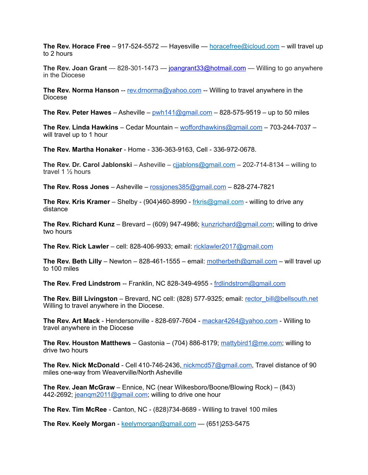**The Rev. Horace Free** – 917-524-5572 — Hayesville — [horacefree@icloud.com](mailto:horacefree@icloud.com) – will travel up to 2 hours

**The Rev. Joan Grant** — 828-301-1473 — [joangrant33@hotmail.com](mailto:joangrant33@hotmail.com) — Willing to go anywhere in the Diocese

**The Rev. Norma Hanson** -- [rev.drnorma@yahoo.com](mailto:rev.drnorma@yahoo.com) -- Willing to travel anywhere in the Diocese

**The Rev. Peter Hawes** – Asheville – [pwh141@gmail.com](mailto:pwh141@gmail.com) – 828-575-9519 – up to 50 miles

**The Rev. Linda Hawkins** – Cedar Mountain – [woffordhawkins@gmail.com](mailto:woffordhawkins@gmail.com) – 703-244-7037 – will travel up to 1 hour

**The Rev. Martha Honaker** - Home - 336-363-9163, Cell - 336-972-0678.

**The Rev. Dr. Carol Jablonski** – Asheville – [cjjablons@gmail.com](mailto:cjjablons@gmail.com) – 202-714-8134 – willing to travel 1 ½ hours

**The Rev. Ross Jones** – Asheville – [rossjones385@gmail.com](mailto:rossjones385@gmail.com) – 828-274-7821

**The Rev. Kris Kramer** – Shelby - (904)460-8990 - [frkris@gmail.com](mailto:frkris@gmail.com) - willing to drive any distance

**The Rev. Richard Kunz** – Brevard – (609) 947-4986; [kunzrichard@gmail.com](mailto:kunzrichard@gmail.com); willing to drive two hours

**The Rev. Rick Lawler** – cell: 828-406-9933; email: [ricklawler2017@gmail.com](mailto:ricklawler2017@gmail.com)

**The Rev. Beth Lilly** – Newton – 828-461-1555 – email: [motherbeth@gmail.com](mailto:motherbeth@gmail.com) – will travel up to 100 miles

**The Rev. Fred Lindstrom** -- Franklin, NC 828-349-4955 - [frdlindstrom@gmail.com](mailto:frdlindstrom@gmail.com)

**The Rev. Bill Livingston** – Brevard, NC cell: (828) 577-9325; email: [rector\\_bill@bellsouth.net](mailto:rector_bill@bellsouth.net) Willing to travel anywhere in the Diocese.

**The Rev. Art Mack** - Hendersonville - 828-697-7604 - [mackar4264@yahoo.com](mailto:mackar4264@yahoo.com) - Willing to travel anywhere in the Diocese

**The Rev. Houston Matthews** – Gastonia – (704) 886-8179; [mattybird1@me.com](mailto:mattybird1@me.com); willing to drive two hours

**The Rev. Nick McDonald** - Cell 410-746-2436[, nickmcd57@gmail.com](mailto:nickmcd57@gmail.com), Travel distance of 90 miles one-way from Weaverville/North Asheville

**The Rev. Jean McGraw** – Ennice, NC (near Wilkesboro/Boone/Blowing Rock) – (843) 442-2692; jeangm2011@gmail.com; willing to drive one hour

**The Rev. Tim McRee** - Canton, NC - (828)734-8689 - Willing to travel 100 miles

**The Rev. Keely Morgan** - [keelymorgan@gmail.com](mailto:keelymorgan@gmail.com) — (651)253-5475